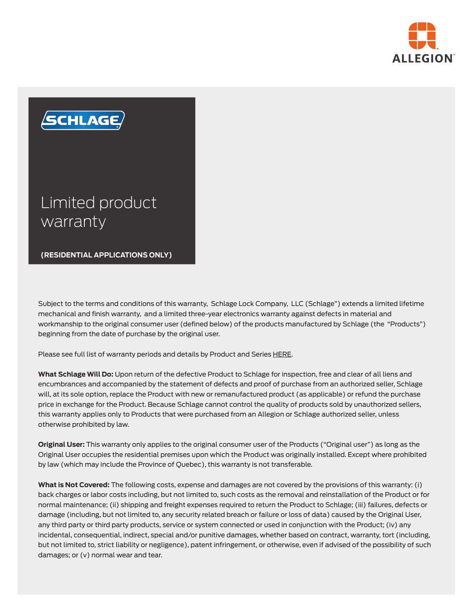



## Limited product warranty

**(RESIDENTIAL APPLICATIONS ONLY)**

Subject to the terms and conditions of this warranty, Schlage Lock Company, LLC (Schlage") extends a limited lifetime mechanical and finish warranty, and a limited three-year electronics warranty against defects in material and workmanship to the original consumer user (defined below) of the products manufactured by Schlage (the "Products") beginning from the date of purchase by the original user.

Please see full list of warranty periods and details by Product and Series HERE.

**What Schlage Will Do:** Upon return of the defective Product to Schlage for inspection, free and clear of all liens and encumbrances and accompanied by the statement of defects and proof of purchase from an authorized seller, Schlage will, at its sole option, replace the Product with new or remanufactured product (as applicable) or refund the purchase price in exchange for the Product. Because Schlage cannot control the quality of products sold by unauthorized sellers, this warranty applies only to Products that were purchased from an Allegion or Schlage authorized seller, unless otherwise prohibited by law.

**Original User:** This warranty only applies to the original consumer user of the Products ("Original user") as long as the Original User occupies the residential premises upon which the Product was originally installed. Except where prohibited by law (which may include the Province of Quebec), this warranty is not transferable.

**What is Not Covered:** The following costs, expense and damages are not covered by the provisions of this warranty: (i) back charges or labor costs including, but not limited to, such costs as the removal and reinstallation of the Product or for normal maintenance; (ii) shipping and freight expenses required to return the Product to Schlage; (iii) failures, defects or damage (including, but not limited to, any security related breach or failure or loss of data) caused by the Original User, any third party or third party products, service or system connected or used in conjunction with the Product; (iv) any incidental, consequential, indirect, special and/or punitive damages, whether based on contract, warranty, tort (including, but not limited to, strict liability or negligence), patent infringement, or otherwise, even if advised of the possibility of such damages; or (v) normal wear and tear.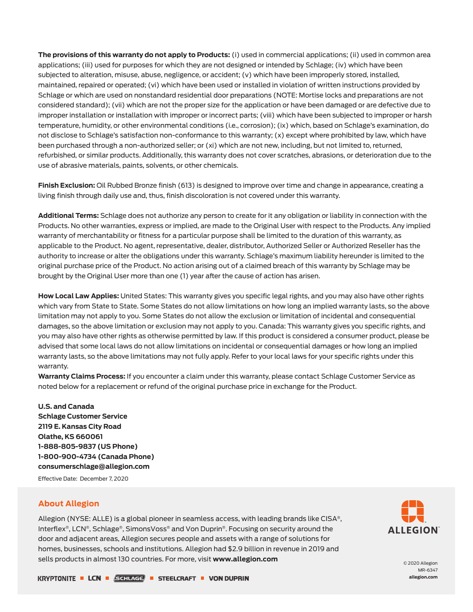**The provisions of this warranty do not apply to Products:** (i) used in commercial applications; (ii) used in common area applications; (iii) used for purposes for which they are not designed or intended by Schlage; (iv) which have been subjected to alteration, misuse, abuse, negligence, or accident; (v) which have been improperly stored, installed, maintained, repaired or operated; (vi) which have been used or installed in violation of written instructions provided by Schlage or which are used on nonstandard residential door preparations (NOTE: Mortise locks and preparations are not considered standard); (vii) which are not the proper size for the application or have been damaged or are defective due to improper installation or installation with improper or incorrect parts; (viii) which have been subjected to improper or harsh temperature, humidity, or other environmental conditions (i.e., corrosion); (ix) which, based on Schlage's examination, do not disclose to Schlage's satisfaction non-conformance to this warranty; (x) except where prohibited by law, which have been purchased through a non-authorized seller; or (xi) which are not new, including, but not limited to, returned, refurbished, or similar products. Additionally, this warranty does not cover scratches, abrasions, or deterioration due to the use of abrasive materials, paints, solvents, or other chemicals.

**Finish Exclusion:** Oil Rubbed Bronze finish (613) is designed to improve over time and change in appearance, creating a living finish through daily use and, thus, finish discoloration is not covered under this warranty.

**Additional Terms:** Schlage does not authorize any person to create for it any obligation or liability in connection with the Products. No other warranties, express or implied, are made to the Original User with respect to the Products. Any implied warranty of merchantability or fitness for a particular purpose shall be limited to the duration of this warranty, as applicable to the Product. No agent, representative, dealer, distributor, Authorized Seller or Authorized Reseller has the authority to increase or alter the obligations under this warranty. Schlage's maximum liability hereunder is limited to the original purchase price of the Product. No action arising out of a claimed breach of this warranty by Schlage may be brought by the Original User more than one (1) year after the cause of action has arisen.

**How Local Law Applies:** United States: This warranty gives you specific legal rights, and you may also have other rights which vary from State to State. Some States do not allow limitations on how long an implied warranty lasts, so the above limitation may not apply to you. Some States do not allow the exclusion or limitation of incidental and consequential damages, so the above limitation or exclusion may not apply to you. Canada: This warranty gives you specific rights, and you may also have other rights as otherwise permitted by law. If this product is considered a consumer product, please be advised that some local laws do not allow limitations on incidental or consequential damages or how long an implied warranty lasts, so the above limitations may not fully apply. Refer to your local laws for your specific rights under this warranty.

**Warranty Claims Process:** If you encounter a claim under this warranty, please contact Schlage Customer Service as noted below for a replacement or refund of the original purchase price in exchange for the Product.

**U.S. and Canada Schlage Customer Service 2119 E. Kansas City Road Olathe, KS 660061 1-888-805-9837 (US Phone) 1-800-900-4734 (Canada Phone) consumerschlage@allegion.com**

Effective Date: December 7, 2020

## **About Allegion**

Allegion (NYSE: ALLE) is a global pioneer in seamless access, with leading brands like CISA®, Interflex®, LCN®, Schlage®, SimonsVoss® and Von Duprin®. Focusing on security around the door and adjacent areas, Allegion secures people and assets with a range of solutions for homes, businesses, schools and institutions. Allegion had \$2.9 billion in revenue in 2019 and sells products in almost 130 countries. For more, visit **www.allegion.com** express that the conducts of the compo



MR-6347 **allegion.com**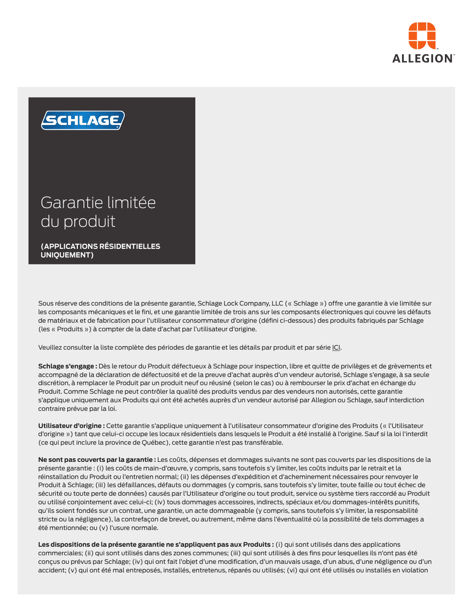



## Garantie limitée du produit

**(APPLICATIONS RÉSIDENTIELLES UNIQUEMENT)**

Sous réserve des conditions de la présente garantie, Schlage Lock Company, LLC (« Schlage ») offre une garantie à vie limitée sur les composants mécaniques et le fini, et une garantie limitée de trois ans sur les composants électroniques qui couvre les défauts de matériaux et de fabrication pour l'utilisateur consommateur d'origine (défini ci-dessous) des produits fabriqués par Schlage (les « Produits ») à compter de la date d'achat par l'utilisateur d'origine.

Veuillez consulter la liste complète des périodes de garantie et les détails par produit et par série ICI.

**Schlage s'engage :** Dès le retour du Produit défectueux à Schlage pour inspection, libre et quitte de privilèges et de grèvements et accompagné de la déclaration de défectuosité et de la preuve d'achat auprès d'un vendeur autorisé, Schlage s'engage, à sa seule discrétion, à remplacer le Produit par un produit neuf ou réusiné (selon le cas) ou à rembourser le prix d'achat en échange du Produit. Comme Schlage ne peut contrôler la qualité des produits vendus par des vendeurs non autorisés, cette garantie s'applique uniquement aux Produits qui ont été achetés auprès d'un vendeur autorisé par Allegion ou Schlage, sauf interdiction contraire prévue par la loi.

**Utilisateur d'origine :** Cette garantie s'applique uniquement à l'utilisateur consommateur d'origine des Produits (« l'Utilisateur d'origine ») tant que celui-ci occupe les locaux résidentiels dans lesquels le Produit a été installé à l'origine. Sauf si la loi l'interdit (ce qui peut inclure la province de Québec), cette garantie n'est pas transférable.

**Ne sont pas couverts par la garantie :** Les coûts, dépenses et dommages suivants ne sont pas couverts par les dispositions de la présente garantie : (i) les coûts de main-d'œuvre, y compris, sans toutefois s'y limiter, les coûts induits par le retrait et la réinstallation du Produit ou l'entretien normal; (ii) les dépenses d'expédition et d'acheminement nécessaires pour renvoyer le Produit à Schlage; (iii) les défaillances, défauts ou dommages (y compris, sans toutefois s'y limiter, toute faille ou tout échec de sécurité ou toute perte de données) causés par l'Utilisateur d'origine ou tout produit, service ou système tiers raccordé au Produit ou utilisé conjointement avec celui-ci; (iv) tous dommages accessoires, indirects, spéciaux et/ou dommages-intérêts punitifs, qu'ils soient fondés sur un contrat, une garantie, un acte dommageable (y compris, sans toutefois s'y limiter, la responsabilité stricte ou la négligence), la contrefaçon de brevet, ou autrement, même dans l'éventualité où la possibilité de tels dommages a été mentionnée; ou (v) l'usure normale.

**Les dispositions de la présente garantie ne s'appliquent pas aux Produits :** (i) qui sont utilisés dans des applications commerciales; (ii) qui sont utilisés dans des zones communes; (iii) qui sont utilisés à des fins pour lesquelles ils n'ont pas été conçus ou prévus par Schlage; (iv) qui ont fait l'objet d'une modification, d'un mauvais usage, d'un abus, d'une négligence ou d'un accident; (v) qui ont été mal entreposés, installés, entretenus, réparés ou utilisés; (vi) qui ont été utilisés ou installés en violation